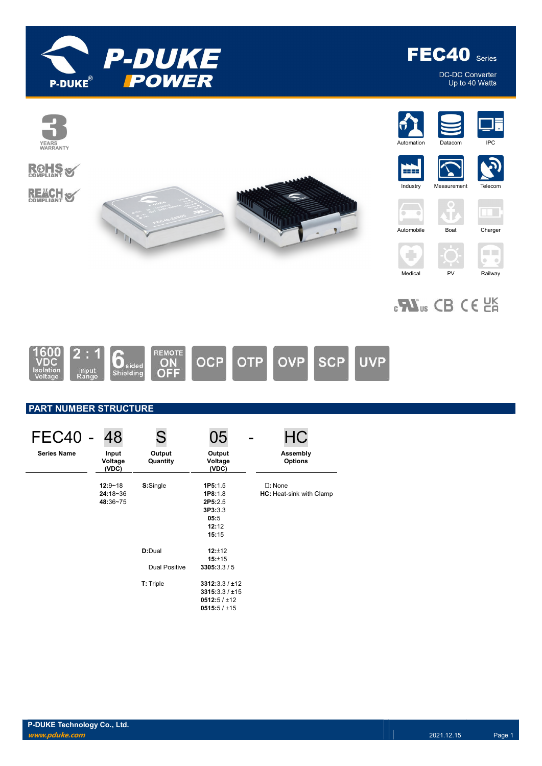

FEC40 Series

DC-DC Converter<br>Up to 40 Watts

 $\Box$ 

 $\bullet$   $\bullet$ 







# PART NUMBER STRUCTURE

| FEC40<br><b>Series Name</b> | 48<br>Input<br>Voltage<br>(VDC)         | S<br>Output<br>Quantity | 05<br>Output<br>Voltage<br>(VDC)                                      | <b>HC</b><br>Assembly<br><b>Options</b>      |
|-----------------------------|-----------------------------------------|-------------------------|-----------------------------------------------------------------------|----------------------------------------------|
|                             | $12:9 - 18$<br>$24:18 - 36$<br>48:36~75 | S:Single                | 1P5:1.5<br>1P8:1.8<br>2P5:2.5<br>3P3:3.3<br>05:5<br>12:12<br>15:15    | $\square$ : None<br>HC: Heat-sink with Clamp |
|                             |                                         | D:Dual                  | 12:112<br>15:±15                                                      |                                              |
|                             |                                         | Dual Positive           | 3305:3.3/5                                                            |                                              |
|                             |                                         | T: Triple               | 3312:3.3 / ±12<br>3315:3.3 / ±15<br>0512:5 / ±12<br>$0515:5 / \pm 15$ |                                              |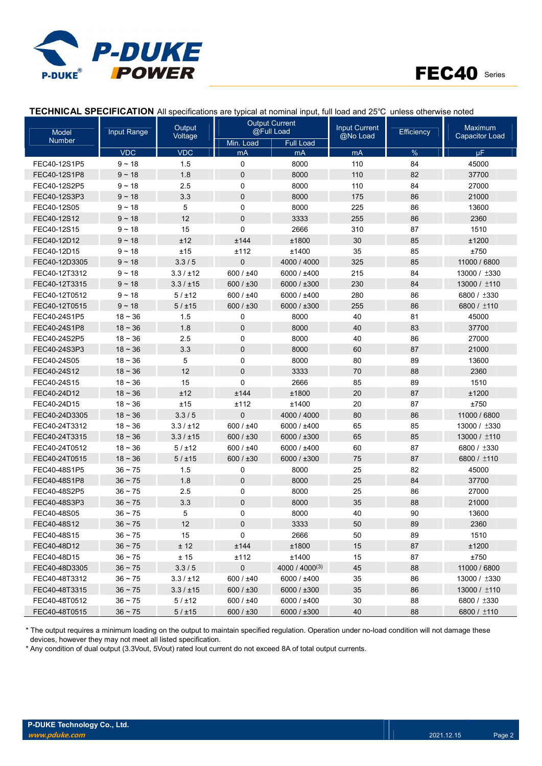



| Model         | Input Range  | Output     |                | <b>Output Current</b><br>@Full Load | <b>Input Current</b> | Efficiency | Maximum               |
|---------------|--------------|------------|----------------|-------------------------------------|----------------------|------------|-----------------------|
| <b>Number</b> |              | Voltage    | Min. Load      | <b>Full Load</b>                    | @No Load             |            | <b>Capacitor Load</b> |
|               | <b>VDC</b>   | <b>VDC</b> | mA             | mA                                  | m <sub>A</sub>       | $\%$       | μF                    |
| FEC40-12S1P5  | $9 - 18$     | 1.5        | $\mathbf 0$    | 8000                                | 110                  | 84         | 45000                 |
| FEC40-12S1P8  | $9 - 18$     | 1.8        | $\overline{0}$ | 8000                                | 110                  | 82         | 37700                 |
| FEC40-12S2P5  | $9 - 18$     | 2.5        | $\mathbf 0$    | 8000                                | 110                  | 84         | 27000                 |
| FEC40-12S3P3  | $9 - 18$     | 3.3        | $\mathbf 0$    | 8000                                | 175                  | 86         | 21000                 |
| FEC40-12S05   | $9 - 18$     | 5          | $\mathbf 0$    | 8000                                | 225                  | 86         | 13600                 |
| FEC40-12S12   | $9 - 18$     | 12         | $\overline{0}$ | 3333                                | 255                  | 86         | 2360                  |
| FEC40-12S15   | $9 - 18$     | 15         | $\mathbf 0$    | 2666                                | 310                  | 87         | 1510                  |
| FEC40-12D12   | $9 - 18$     | ±12        | ±144           | ±1800                               | 30                   | 85         | ±1200                 |
| FEC40-12D15   | $9 - 18$     | ±15        | ±112           | ±1400                               | 35                   | 85         | ±750                  |
| FEC40-12D3305 | $9 - 18$     | 3.3/5      | $\overline{0}$ | 4000 / 4000                         | 325                  | 85         | 11000 / 6800          |
| FEC40-12T3312 | $9 - 18$     | 3.3 / ±12  | 600 / ±40      | 6000 / ±400                         | 215                  | 84         | 13000 / ±330          |
| FEC40-12T3315 | $9 - 18$     | 3.3 / ±15  | 600 / $±30$    | 6000 / ±300                         | 230                  | 84         | 13000 / ±110          |
| FEC40-12T0512 | $9 - 18$     | 5 / ±12    | 600 / ±40      | 6000 / ±400                         | 280                  | 86         | 6800 / ±330           |
| FEC40-12T0515 | $9 - 18$     | 5 / ±15    | 600 / $±30$    | 6000 / ±300                         | 255                  | 86         | 6800 / ±110           |
| FEC40-24S1P5  | $18 - 36$    | 1.5        | 0              | 8000                                | 40                   | 81         | 45000                 |
| FEC40-24S1P8  | $18 - 36$    | 1.8        | $\mathbf 0$    | 8000                                | 40                   | 83         | 37700                 |
| FEC40-24S2P5  | $18 - 36$    | 2.5        | $\mathbf 0$    | 8000                                | 40                   | 86         | 27000                 |
| FEC40-24S3P3  | $18 - 36$    | 3.3        | $\mathbf 0$    | 8000                                | 60                   | 87         | 21000                 |
| FEC40-24S05   | $18 - 36$    | 5          | $\mathbf 0$    | 8000                                | 80                   | 89         | 13600                 |
| FEC40-24S12   | $18 - 36$    | 12         | $\overline{0}$ | 3333                                | 70                   | 88         | 2360                  |
| FEC40-24S15   | $18 - 36$    | 15         | $\mathbf 0$    | 2666                                | 85                   | 89         | 1510                  |
| FEC40-24D12   | $18 - 36$    | ±12        | ±144           | ±1800                               | 20                   | 87         | ±1200                 |
| FEC40-24D15   | $18 - 36$    | ±15        | ±112           | ±1400                               | 20                   | 87         | ±750                  |
| FEC40-24D3305 | $18 - 36$    | 3.3/5      | $\overline{0}$ | 4000 / 4000                         | 80                   | 86         | 11000 / 6800          |
| FEC40-24T3312 | $18 - 36$    | 3.3 / ±12  | 600 / ±40      | 6000 / ±400                         | 65                   | 85         | 13000 / ±330          |
| FEC40-24T3315 | $18 - 36$    | 3.3 / ±15  | 600 / $±30$    | 6000 / ±300                         | 65                   | 85         | 13000 / ±110          |
| FEC40-24T0512 | $18 - 36$    | 5 / ±12    | 600 / ±40      | 6000 / ±400                         | 60                   | 87         | 6800 / ±330           |
| FEC40-24T0515 | $18 - 36$    | 5 / ±15    | 600 / $±30$    | 6000 / ±300                         | 75                   | 87         | 6800 / ±110           |
| FEC40-48S1P5  | $36 - 75$    | 1.5        | 0              | 8000                                | 25                   | 82         | 45000                 |
| FEC40-48S1P8  | $36 - 75$    | 1.8        | $\mathbf 0$    | 8000                                | 25                   | 84         | 37700                 |
| FEC40-48S2P5  | $36 - 75$    | 2.5        | 0              | 8000                                | 25                   | 86         | 27000                 |
| FEC40-48S3P3  | $36 - 75$    | 3.3        | $\mathbf 0$    | 8000                                | 35                   | 88         | 21000                 |
| FEC40-48S05   | $36 - 75$    | 5          | 0              | 8000                                | 40                   | 90         | 13600                 |
| FEC40-48S12   | $36\sim75$   | 12         | 0              | 3333                                | 50                   | 89         | 2360                  |
| FEC40-48S15   | $36 - 75$    | 15         | 0              | 2666                                | 50                   | 89         | 1510                  |
| FEC40-48D12   | $36 \sim 75$ | ± 12       | ±144           | ±1800                               | 15                   | 87         | ±1200                 |
| FEC40-48D15   | $36 - 75$    | ± 15       | ±112           | ±1400                               | 15                   | 87         | ±750                  |
| FEC40-48D3305 | $36 - 75$    | 3.3/5      | $\pmb{0}$      | 4000 / 4000(3)                      | 45                   | 88         | 11000 / 6800          |
| FEC40-48T3312 | $36 - 75$    | 3.3 / ±12  | 600 / ±40      | 6000 / ±400                         | 35                   | 86         | 13000 / ±330          |
| FEC40-48T3315 | $36 - 75$    | 3.3 / ±15  | 600 / $±30$    | 6000 / ±300                         | 35                   | 86         | 13000 / ±110          |
| FEC40-48T0512 | $36 - 75$    | 5 / ±12    | 600 / ±40      | 6000 / ±400                         | 30                   | 88         | 6800 / ±330           |
| FEC40-48T0515 | $36 \sim 75$ | 5 / ±15    | 600 / ±30      | 6000 / ±300                         | 40                   | 88         | 6800 / ±110           |

TECHNICAL SPECIFICATION All specifications are typical at nominal input, full load and 25℃ unless otherwise noted

\* The output requires a minimum loading on the output to maintain specified regulation. Operation under no-load condition will not damage these devices, however they may not meet all listed specification.

\* Any condition of dual output (3.3Vout, 5Vout) rated Iout current do not exceed 8A of total output currents.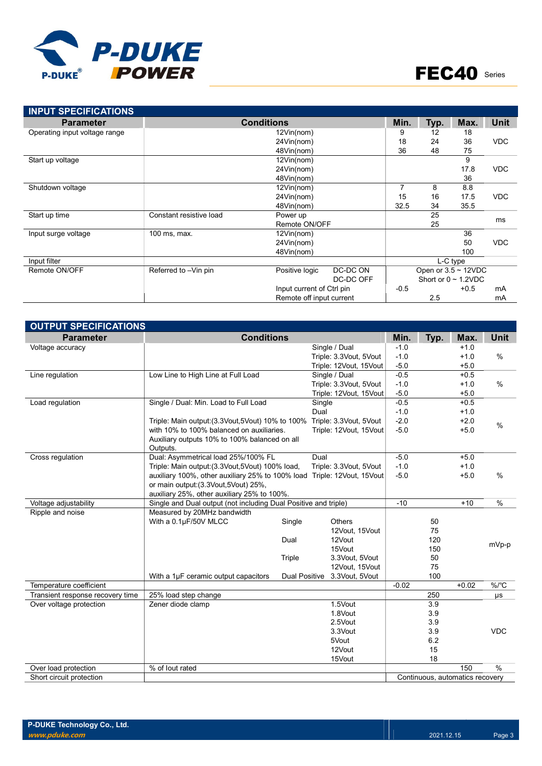

| <b>INPUT SPECIFICATIONS</b>   |                                     |                           |                          |        |            |                           |             |  |
|-------------------------------|-------------------------------------|---------------------------|--------------------------|--------|------------|---------------------------|-------------|--|
| <b>Parameter</b>              |                                     | <b>Conditions</b>         |                          | Min.   | Typ.       | Max.                      | <b>Unit</b> |  |
| Operating input voltage range |                                     | 12Vin(nom)                |                          | 9      | 12         | 18                        |             |  |
|                               |                                     | 24Vin(nom)                |                          | 18     | 24         | 36                        | <b>VDC</b>  |  |
|                               |                                     | 48Vin(nom)                |                          |        |            |                           |             |  |
| Start up voltage              |                                     | 12Vin(nom)                |                          |        |            | 9                         |             |  |
|                               |                                     | 24Vin(nom)                |                          |        |            | 17.8                      | <b>VDC</b>  |  |
|                               |                                     | 48Vin(nom)                |                          |        |            | 36                        |             |  |
| Shutdown voltage              | 12Vin(nom)                          |                           |                          |        | 8          | 8.8                       |             |  |
|                               |                                     | 15                        | 16                       | 17.5   | <b>VDC</b> |                           |             |  |
|                               |                                     | 48Vin(nom)                |                          |        |            | 35.5                      |             |  |
| Start up time                 | Power up<br>Constant resistive load |                           |                          |        | 25         |                           | ms          |  |
|                               |                                     | Remote ON/OFF             |                          |        | 25         |                           |             |  |
| Input surge voltage           | 100 ms, max.                        | 12Vin(nom)                |                          |        |            | 36                        |             |  |
|                               |                                     | 24Vin(nom)                |                          |        |            | 50                        | <b>VDC</b>  |  |
|                               |                                     | 48Vin(nom)                |                          |        |            | 100                       |             |  |
| Input filter                  |                                     |                           |                          |        |            | L-C type                  |             |  |
| Remote ON/OFF                 | Referred to -Vin pin                | Positive logic            | DC-DC ON                 |        |            | Open or $3.5 \sim 12$ VDC |             |  |
|                               |                                     |                           | DC-DC OFF                |        |            | Short or $0 \sim 1.2$ VDC |             |  |
|                               |                                     | Input current of Ctrl pin |                          | $-0.5$ |            | $+0.5$                    | mA          |  |
|                               |                                     |                           | Remote off input current |        |            |                           | mA          |  |

| <b>OUTPUT SPECIFICATIONS</b>     |                                                                         |               |                        |         |      |                                 |               |  |  |  |  |  |  |
|----------------------------------|-------------------------------------------------------------------------|---------------|------------------------|---------|------|---------------------------------|---------------|--|--|--|--|--|--|
| <b>Parameter</b>                 | <b>Conditions</b>                                                       |               |                        | Min.    | Typ. | Max.                            | Unit          |  |  |  |  |  |  |
| Voltage accuracy                 |                                                                         |               | Single / Dual          | $-1.0$  |      | $+1.0$                          |               |  |  |  |  |  |  |
|                                  |                                                                         |               | Triple: 3.3Vout, 5Vout | $-1.0$  |      | $+1.0$                          | $\frac{0}{0}$ |  |  |  |  |  |  |
|                                  |                                                                         |               | Triple: 12Vout, 15Vout | $-5.0$  |      | $+5.0$                          |               |  |  |  |  |  |  |
| Line regulation                  | Low Line to High Line at Full Load                                      |               | Single / Dual          | $-0.5$  |      | $+0.5$                          |               |  |  |  |  |  |  |
|                                  |                                                                         |               | Triple: 3.3Vout, 5Vout | $-1.0$  |      | $+1.0$                          | $\frac{0}{0}$ |  |  |  |  |  |  |
|                                  |                                                                         |               | Triple: 12Vout, 15Vout | $-5.0$  |      | $+5.0$                          |               |  |  |  |  |  |  |
| Load regulation                  | Single / Dual: Min. Load to Full Load                                   |               | Single                 | $-0.5$  |      | $+0.5$                          |               |  |  |  |  |  |  |
|                                  |                                                                         |               | Dual                   | $-1.0$  |      | $+1.0$                          |               |  |  |  |  |  |  |
|                                  | Triple: Main output: (3.3 Vout, 5 Vout) 10% to 100%                     |               | Triple: 3.3Vout, 5Vout | $-2.0$  |      | $+2.0$                          | $\frac{0}{0}$ |  |  |  |  |  |  |
|                                  | with 10% to 100% balanced on auxiliaries.                               |               | Triple: 12Vout, 15Vout | $-5.0$  |      | $+5.0$                          |               |  |  |  |  |  |  |
|                                  | Auxiliary outputs 10% to 100% balanced on all                           |               |                        |         |      |                                 |               |  |  |  |  |  |  |
|                                  | Outputs.                                                                |               |                        |         |      |                                 |               |  |  |  |  |  |  |
| Cross regulation                 | Dual: Asymmetrical load 25%/100% FL                                     |               | Dual                   | $-5.0$  |      | $+5.0$                          |               |  |  |  |  |  |  |
|                                  | Triple: Main output: (3.3Vout, 5Vout) 100% load,                        |               | Triple: 3.3Vout, 5Vout | $-1.0$  |      | $+1.0$                          |               |  |  |  |  |  |  |
|                                  | auxiliary 100%, other auxiliary 25% to 100% load Triple: 12Vout, 15Vout |               |                        | $-5.0$  |      | $+5.0$                          | $\frac{0}{0}$ |  |  |  |  |  |  |
|                                  | or main output: (3.3Vout, 5Vout) 25%,                                   |               |                        |         |      |                                 |               |  |  |  |  |  |  |
|                                  | auxiliary 25%, other auxiliary 25% to 100%.                             |               |                        |         |      |                                 |               |  |  |  |  |  |  |
| Voltage adjustability            | Single and Dual output (not including Dual Positive and triple)         |               |                        | $-10$   |      | $+10$                           | $\frac{0}{0}$ |  |  |  |  |  |  |
| Ripple and noise                 | Measured by 20MHz bandwidth                                             |               |                        |         |      |                                 |               |  |  |  |  |  |  |
|                                  | With a 0.1µF/50V MLCC                                                   | Single        | <b>Others</b>          |         | 50   |                                 |               |  |  |  |  |  |  |
|                                  |                                                                         |               | 12Vout, 15Vout         |         | 75   |                                 |               |  |  |  |  |  |  |
|                                  |                                                                         | Dual          | 12Vout                 |         | 120  |                                 | mVp-p         |  |  |  |  |  |  |
|                                  |                                                                         |               | 15Vout                 |         | 150  |                                 |               |  |  |  |  |  |  |
|                                  |                                                                         | Triple        | 3.3Vout, 5Vout         |         | 50   |                                 |               |  |  |  |  |  |  |
|                                  |                                                                         |               | 12Vout, 15Vout         |         | 75   |                                 |               |  |  |  |  |  |  |
| Temperature coefficient          | With a 1µF ceramic output capacitors                                    | Dual Positive | 3.3Vout, 5Vout         | $-0.02$ | 100  | $+0.02$                         | $%$ /°C       |  |  |  |  |  |  |
| Transient response recovery time | 25% load step change                                                    |               |                        |         | 250  |                                 |               |  |  |  |  |  |  |
| Over voltage protection          | Zener diode clamp                                                       |               | 1.5Vout                |         | 3.9  |                                 | μs            |  |  |  |  |  |  |
|                                  |                                                                         |               | 1.8Vout                |         | 3.9  |                                 |               |  |  |  |  |  |  |
|                                  |                                                                         |               | 2.5Vout                |         | 3.9  |                                 |               |  |  |  |  |  |  |
|                                  |                                                                         |               | 3.3Vout                |         | 3.9  |                                 | <b>VDC</b>    |  |  |  |  |  |  |
|                                  |                                                                         |               | 5Vout                  |         | 6.2  |                                 |               |  |  |  |  |  |  |
|                                  |                                                                         |               | 12Vout                 |         | 15   |                                 |               |  |  |  |  |  |  |
|                                  |                                                                         |               | 15Vout                 |         | 18   |                                 |               |  |  |  |  |  |  |
| Over load protection             | % of lout rated                                                         |               |                        |         |      | 150                             | $\%$          |  |  |  |  |  |  |
| Short circuit protection         |                                                                         |               |                        |         |      | Continuous, automatics recovery |               |  |  |  |  |  |  |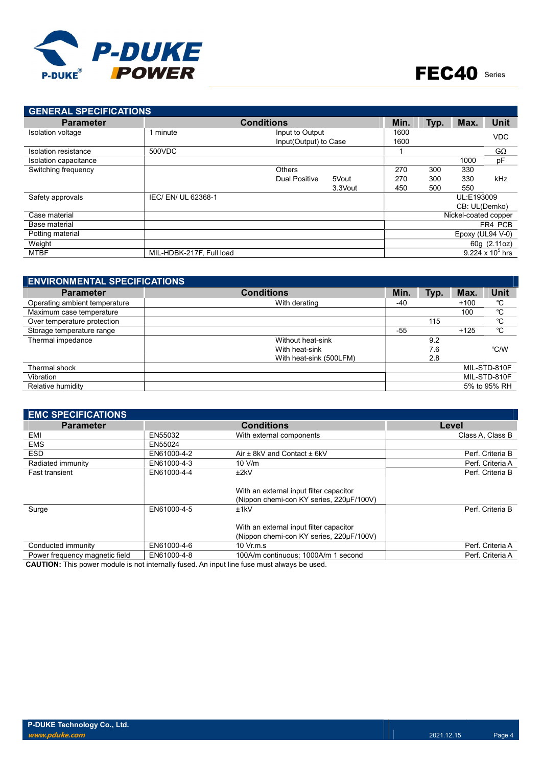

| <b>GENERAL SPECIFICATIONS</b> |                          |                       |         |            |      |                      |                    |
|-------------------------------|--------------------------|-----------------------|---------|------------|------|----------------------|--------------------|
| <b>Parameter</b>              |                          | <b>Conditions</b>     |         | Min.       | Typ. | Max.                 | Unit               |
| Isolation voltage             | minute                   | Input to Output       |         | 1600       |      |                      | <b>VDC</b>         |
|                               |                          | Input(Output) to Case |         | 1600       |      |                      |                    |
| Isolation resistance          | 500VDC                   |                       |         |            |      |                      | $G\Omega$          |
| Isolation capacitance         |                          |                       |         |            |      | 1000                 | pF                 |
| Switching frequency           |                          | <b>Others</b>         |         | 270        | 300  | 330                  |                    |
|                               |                          | <b>Dual Positive</b>  | 5Vout   | 270        | 300  | 330                  | kHz                |
|                               |                          |                       | 3.3Vout | 450        | 500  | 550                  |                    |
| Safety approvals              | IEC/EN/UL 62368-1        |                       |         | UL:E193009 |      |                      |                    |
|                               |                          |                       |         |            |      | CB: UL(Demko)        |                    |
| Case material                 |                          |                       |         |            |      | Nickel-coated copper |                    |
| Base material                 |                          |                       |         |            |      |                      | FR4 PCB            |
| Potting material              |                          |                       |         |            |      | Epoxy (UL94 $V-0$ )  |                    |
| Weight                        |                          |                       |         |            |      |                      | 60g (2.11oz)       |
| <b>MTBF</b>                   | MIL-HDBK-217F, Full load |                       |         |            |      |                      | 9.224 x $10^5$ hrs |

| <b>ENVIRONMENTAL SPECIFICATIONS</b> |                         |       |      |        |              |
|-------------------------------------|-------------------------|-------|------|--------|--------------|
| <b>Parameter</b>                    | <b>Conditions</b>       | Min.  | Typ. | Max.   | <b>Unit</b>  |
| Operating ambient temperature       | With derating           | -40   |      | $+100$ | °C           |
| Maximum case temperature            |                         |       |      | 100    | °C           |
| Over temperature protection         |                         |       | 115  |        | °C           |
| Storage temperature range           |                         | $-55$ |      | $+125$ | °C           |
| Thermal impedance                   | Without heat-sink       |       | 9.2  |        |              |
|                                     | With heat-sink          |       | 7.6  |        | °C/W         |
|                                     | With heat-sink (500LFM) |       | 2.8  |        |              |
| Thermal shock                       |                         |       |      |        | MIL-STD-810F |
| Vibration                           |                         |       |      |        | MIL-STD-810F |
| Relative humidity                   |                         |       |      |        | 5% to 95% RH |

| <b>EMC SPECIFICATIONS</b>      |             |                                                                                     |                  |
|--------------------------------|-------------|-------------------------------------------------------------------------------------|------------------|
| <b>Parameter</b>               |             | <b>Conditions</b>                                                                   | Level            |
| EMI                            | EN55032     | With external components                                                            | Class A. Class B |
| <b>EMS</b>                     | EN55024     |                                                                                     |                  |
| <b>ESD</b>                     | EN61000-4-2 | Air $\pm$ 8kV and Contact $\pm$ 6kV                                                 | Perf. Criteria B |
| Radiated immunity              | EN61000-4-3 | 10 V/m                                                                              | Perf. Criteria A |
| <b>Fast transient</b>          | EN61000-4-4 | ±2kV                                                                                | Perf. Criteria B |
|                                |             | With an external input filter capacitor<br>(Nippon chemi-con KY series, 220µF/100V) |                  |
| Surge                          | EN61000-4-5 | ±1kV<br>With an external input filter capacitor                                     | Perf. Criteria B |
|                                |             | (Nippon chemi-con KY series, 220µF/100V)                                            |                  |
| Conducted immunity             | EN61000-4-6 | $10 \text{ Vr}$ m.s.                                                                | Perf. Criteria A |
| Power frequency magnetic field | EN61000-4-8 | 100A/m continuous: 1000A/m 1 second                                                 | Perf. Criteria A |

CAUTION: This power module is not internally fused. An input line fuse must always be used.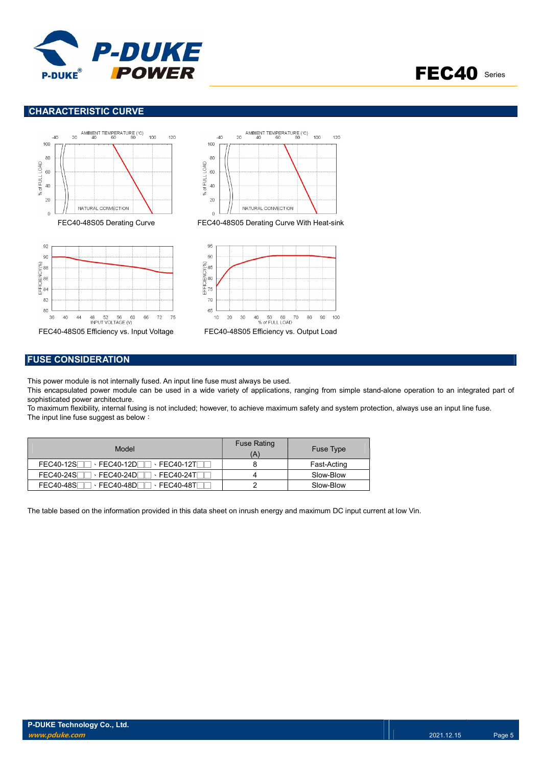



## CHARACTERISTIC CURVE



## FUSE CONSIDERATION

This power module is not internally fused. An input line fuse must always be used.

This encapsulated power module can be used in a wide variety of applications, ranging from simple stand-alone operation to an integrated part of sophisticated power architecture.

To maximum flexibility, internal fusing is not included; however, to achieve maximum safety and system protection, always use an input line fuse. The input line fuse suggest as below:

| Model                                                       | <b>Fuse Rating</b><br>'A | Fuse Type   |
|-------------------------------------------------------------|--------------------------|-------------|
| <b>FEC40-12DF</b><br><b>FEC40-12SF</b><br>$\cdot$ FEC40-12T |                          | Fast-Acting |
| <b>FEC40-24SF</b><br>FEC40-24DF<br>$\cdot$ FEC40-24TL       |                          | Slow-Blow   |
| <b>FEC40-48S</b><br>FEC40-48DF<br>$\cdot$ FEC40-48TI        |                          | Slow-Blow   |

The table based on the information provided in this data sheet on inrush energy and maximum DC input current at low Vin.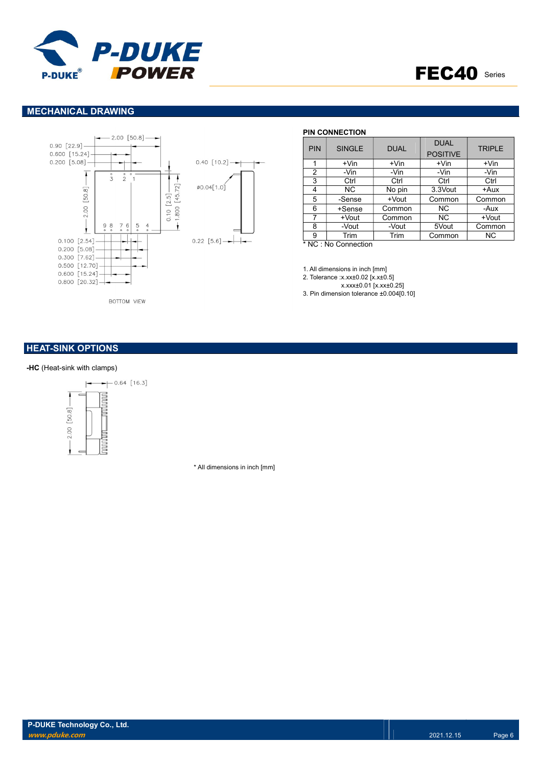



## MECHANICAL DRAWING



#### PIN CONNECTION

| <b>PIN</b> | <b>SINGLE</b> | <b>DUAL</b> | <b>DUAL</b><br><b>POSITIVE</b> | <b>TRIPLE</b> |  |
|------------|---------------|-------------|--------------------------------|---------------|--|
|            | $+V$ in       | $+V$ in     | +Vin                           | $+V$ in       |  |
| 2          | -Vin          | -Vin        | -Vin                           | -Vin          |  |
| 3          | Ctrl          | Ctrl        | Ctrl                           | Ctrl          |  |
| 4          | <b>NC</b>     | No pin      | 3.3Vout                        | +Aux          |  |
| 5          | -Sense        | +Vout       | Common                         | Common        |  |
| 6          | +Sense        | Common      | NC.                            | -Aux          |  |
|            | +Vout         | Common      | <b>NC</b>                      | +Vout         |  |
| 8          | -Vout         | -Vout       | 5Vout                          | Common        |  |
| 9          | Trim          | Trim        | Common                         | NC.           |  |

\* NC : No Connection

1. All dimensions in inch [mm]

2. Tolerance :x.xx±0.02 [x.x±0.5] x.xxx±0.01 [x.xx±0.25]

3. Pin dimension tolerance ±0.004[0.10]

## **HEAT-SINK OPTIONS**

#### -HC (Heat-sink with clamps)



\* All dimensions in inch [mm]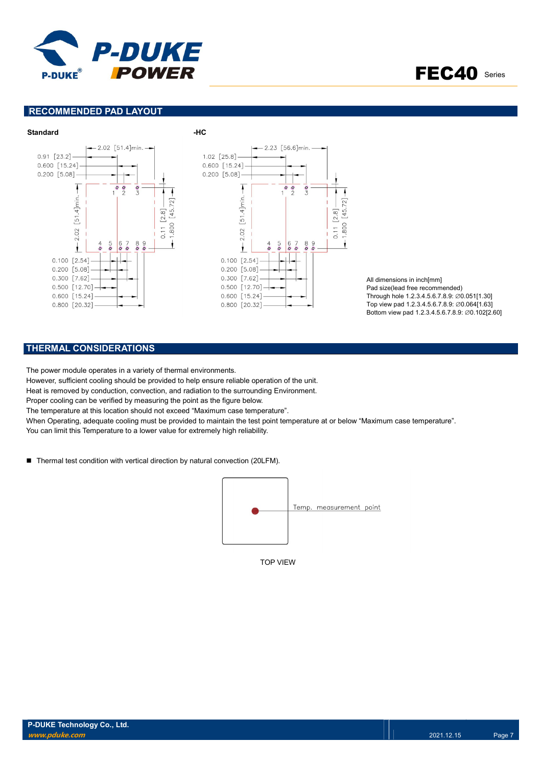

FEC40 Series

## RECOMMENDED PAD LAYOUT



All dimensions in inch[mm] Pad size(lead free recommended) Through hole 1.2.3.4.5.6.7.8.9: ∅0.051[1.30] Top view pad 1.2.3.4.5.6.7.8.9: ∅0.064[1.63] Bottom view pad 1.2.3.4.5.6.7.8.9: ∅0.102[2.60]

## THERMAL CONSIDERATIONS

The power module operates in a variety of thermal environments.

However, sufficient cooling should be provided to help ensure reliable operation of the unit.

Heat is removed by conduction, convection, and radiation to the surrounding Environment.

Proper cooling can be verified by measuring the point as the figure below.

The temperature at this location should not exceed "Maximum case temperature".

When Operating, adequate cooling must be provided to maintain the test point temperature at or below "Maximum case temperature". You can limit this Temperature to a lower value for extremely high reliability.

■ Thermal test condition with vertical direction by natural convection (20LFM).



TOP VIEW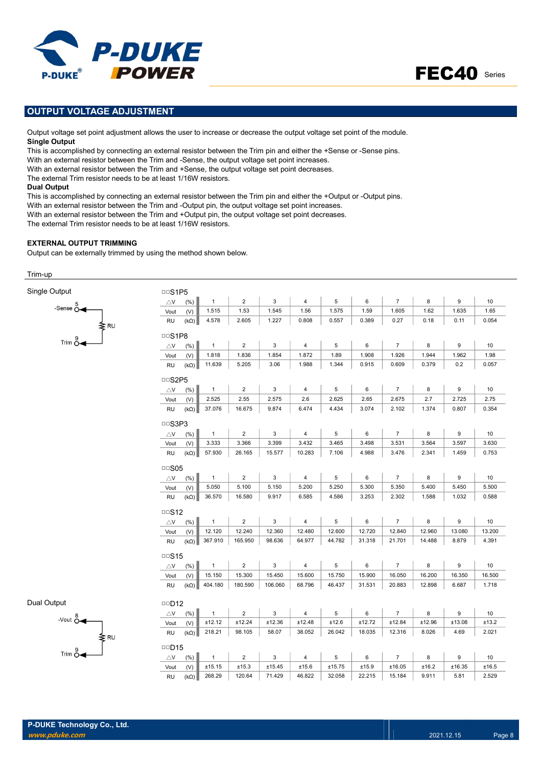



## OUTPUT VOLTAGE ADJUSTMENT

Output voltage set point adjustment allows the user to increase or decrease the output voltage set point of the module. Single Output

This is accomplished by connecting an external resistor between the Trim pin and either the +Sense or -Sense pins.

With an external resistor between the Trim and -Sense, the output voltage set point increases.

With an external resistor between the Trim and +Sense, the output voltage set point decreases.

The external Trim resistor needs to be at least 1/16W resistors.

#### Dual Output

This is accomplished by connecting an external resistor between the Trim pin and either the +Output or -Output pins.

With an external resistor between the Trim and -Output pin, the output voltage set point increases.

With an external resistor between the Trim and +Output pin, the output voltage set point decreases.

The external Trim resistor needs to be at least 1/16W resistors.

#### EXTERNAL OUTPUT TRIMMING

Output can be externally trimmed by using the method shown below.

#### Trim-up

| Single Output                     | $\cup$ S1P5                        |                |                         |              |                |             |        |                |        |        |        |  |
|-----------------------------------|------------------------------------|----------------|-------------------------|--------------|----------------|-------------|--------|----------------|--------|--------|--------|--|
| -Sense $\stackrel{5}{\circ}$      | $\bigtriangleup\mathsf{V}$<br>(% ) | $\mathbf{1}$   | $\sqrt{2}$              | $\mathbf{3}$ | $\sqrt{4}$     | $\,$ 5 $\,$ | 6      | $\overline{7}$ | 8      | 9      | 10     |  |
|                                   | Vout<br>(V)                        | 1.515          | 1.53                    | 1.545        | 1.56           | 1.575       | 1.59   | 1.605          | 1.62   | 1.635  | 1.65   |  |
| ≹RU                               | <b>RU</b><br>$(k\Omega)$           | 4.578          | 2.605                   | 1.227        | 0.808          | 0.557       | 0.389  | 0.27           | 0.18   | 0.11   | 0.054  |  |
|                                   | DDS1P8                             |                |                         |              |                |             |        |                |        |        |        |  |
| $Trim \overset{9}{\circ}$         | $\bigtriangleup\mathsf{V}$<br>(% ) | $\mathbf{1}$   | $\overline{2}$          | 3            | 4              | 5           | 6      | $\overline{7}$ | 8      | 9      | 10     |  |
|                                   | (V)<br>Vout                        | 1.818          | 1.836                   | 1.854        | 1.872          | 1.89        | 1.908  | 1.926          | 1.944  | 1.962  | 1.98   |  |
|                                   | <b>RU</b><br>$(k\Omega)$           | 11.639         | 5.205                   | 3.06         | 1.988          | 1.344       | 0.915  | 0.609          | 0.379  | 0.2    | 0.057  |  |
|                                   | <b>DDS2P5</b>                      |                |                         |              |                |             |        |                |        |        |        |  |
|                                   | $\bigtriangleup\mathsf{V}$<br>(% ) | $\mathbf{1}$   | $\overline{2}$          | 3            | $\overline{4}$ | 5           | 6      | $\overline{7}$ | 8      | 9      | 10     |  |
|                                   | (V)<br>Vout                        | 2.525          | 2.55                    | 2.575        | 2.6            | 2.625       | 2.65   | 2.675          | 2.7    | 2.725  | 2.75   |  |
|                                   | $(k\Omega)$<br><b>RU</b>           | 37.076         | 16.675                  | 9.874        | 6.474          | 4.434       | 3.074  | 2.102          | 1.374  | 0.807  | 0.354  |  |
|                                   | <b>DDS3P3</b>                      |                |                         |              |                |             |        |                |        |        |        |  |
|                                   | (% )<br>$\triangle$ V              | $\mathbf{1}$   | $\overline{2}$          | 3            | 4              | 5           | 6      | $\overline{7}$ | 8      | 9      | 10     |  |
|                                   | Vout<br>(V)                        | 3.333          | 3.366                   | 3.399        | 3.432          | 3.465       | 3.498  | 3.531          | 3.564  | 3.597  | 3.630  |  |
|                                   | <b>RU</b><br>$(k\Omega)$           | 57.930         | 26.165                  | 15.577       | 10.283         | 7.106       | 4.988  | 3.476          | 2.341  | 1.459  | 0.753  |  |
|                                   | $\Box$ S05                         |                |                         |              |                |             |        |                |        |        |        |  |
|                                   | (%)<br>$\bigtriangleup$ V          | $\overline{1}$ | $\overline{c}$          | 3            | $\overline{4}$ | 5           | 6      | $\overline{7}$ | 8      | 9      | 10     |  |
|                                   | Vout<br>(V)                        | 5.050          | 5.100                   | 5.150        | 5.200          | 5.250       | 5.300  | 5.350          | 5.400  | 5.450  | 5.500  |  |
|                                   | <b>RU</b><br>$(k\Omega)$           | 36.570         | 16.580                  | 9.917        | 6.585          | 4.586       | 3.253  | 2.302          | 1.588  | 1.032  | 0.588  |  |
|                                   | $\Box$ S12                         |                |                         |              |                |             |        |                |        |        |        |  |
|                                   | $\bigtriangleup\mathsf{V}$<br>(%)  | $\mathbf{1}$   | $\overline{c}$          | 3            | $\overline{4}$ | 5           | 6      | $\overline{7}$ | 8      | 9      | 10     |  |
|                                   | (V)<br>Vout                        | 12.120         | 12.240                  | 12.360       | 12.480         | 12.600      | 12.720 | 12.840         | 12.960 | 13.080 | 13.200 |  |
|                                   | $(k\Omega)$<br><b>RU</b>           | 367.910        | 165.950                 | 98.636       | 64.977         | 44.782      | 31.318 | 21.701         | 14.488 | 8.879  | 4.391  |  |
|                                   | $\Box$ S15                         |                |                         |              |                |             |        |                |        |        |        |  |
|                                   | $\bigtriangleup\mathsf{V}$<br>(% ) | $\mathbf{1}$   | $\overline{\mathbf{c}}$ | 3            | $\overline{4}$ | 5           | 6      | $\overline{7}$ | 8      | 9      | 10     |  |
|                                   | (V)<br>Vout                        | 15.150         | 15.300                  | 15.450       | 15.600         | 15.750      | 15.900 | 16.050         | 16.200 | 16.350 | 16.500 |  |
|                                   | $(k\Omega)$<br><b>RU</b>           | 404.180        | 180.590                 | 106.060      | 68.796         | 46.437      | 31.531 | 20.883         | 12.898 | 6.687  | 1.718  |  |
| Dual Output                       | <b>DD12</b>                        |                |                         |              |                |             |        |                |        |        |        |  |
|                                   | $\bigtriangleup\mathsf{V}$<br>(% ) | $\mathbf{1}$   | $\overline{\mathbf{c}}$ | 3            | 4              | 5           | 6      | $\overline{7}$ | 8      | 9      | 10     |  |
|                                   | Vout<br>(V)                        | ±12.12         | ±12.24                  | ±12.36       | ±12.48         | ±12.6       | ±12.72 | ±12.84         | ±12.96 | ±13.08 | ±13.2  |  |
| -Vout $\overset{8}{\circ}$<br>≱RU | <b>RU</b><br>$(k\Omega)$           | 218.21         | 98.105                  | 58.07        | 38.052         | 26.042      | 18.035 | 12.316         | 8.026  | 4.69   | 2.021  |  |
|                                   | <b>DD15</b>                        |                |                         |              |                |             |        |                |        |        |        |  |
| $Trim \overset{9}{\circ}$         | (% )<br>$\bigtriangleup$ V         | $\mathbf{1}$   | $\overline{2}$          | 3            | $\overline{4}$ | 5           | 6      | $\overline{7}$ | 8      | 9      | 10     |  |
|                                   | Vout<br>(V)                        | ±15.15         | ±15.3                   | ±15.45       | ±15.6          | ±15.75      | ±15.9  | ±16.05         | ±16.2  | ±16.35 | ±16.5  |  |
|                                   | <b>RU</b><br>$(k\Omega)$           | 268.29         | 120.64                  | 71.429       | 46.822         | 32.058      | 22.215 | 15.184         | 9.911  | 5.81   | 2.529  |  |